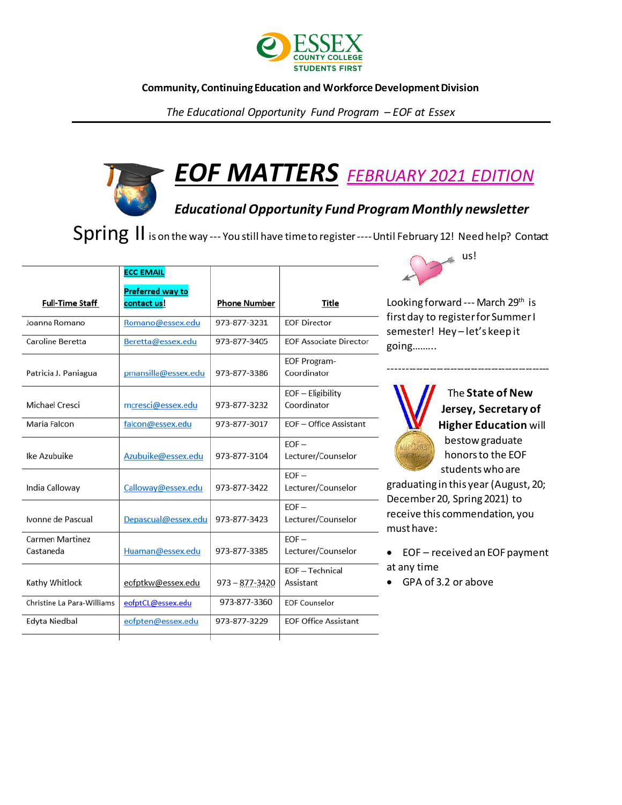

#### **Community, Continuing Education and Workforce Development Division**

*The Educational Opportunity Fund Program – EOF at Essex*

# *EOF MATTERS FEBRUARY 2021 EDITION*

### *Educational Opportunity Fund Program Monthly newsletter*

Spring II is on the way --- You still have time to register ---- Until February 12! Need help? Contact

|                                     | <b>ECC EMAIL</b>        |                    |                                    |
|-------------------------------------|-------------------------|--------------------|------------------------------------|
|                                     | <b>Preferred way to</b> |                    |                                    |
| Full-Time Staff                     | contact us!             | Phone Number       | Title                              |
| Joanna Romano                       | Romano@essex.edu        | 973-877-3231       | <b>EOF Director</b>                |
| Caroline Beretta                    | Beretta@essex.edu       | 973-877-3405       | <b>EOF Associate Director</b>      |
| Patricia J. Paniagua                | pmansilla@essex.edu     | 973-877-3386       | <b>EOF Program-</b><br>Coordinator |
| Michael Cresci                      | mcresci@essex.edu       | 973-877-3232       | $EOF - Elizabeth$<br>Coordinator   |
| Maria Falcon                        | falcon@essex.edu        | 973-877-3017       | EOF - Office Assistant             |
| Ike Azubuike                        | Azubuike@essex.edu      | 973-877-3104       | $EOF -$<br>Lecturer/Counselor      |
| India Calloway                      | Calloway@essex.edu      | 973-877-3422       | $EOF -$<br>Lecturer/Counselor      |
| Ivonne de Pascual                   | Depascual@essex.edu     | 973-877-3423       | $EOF -$<br>Lecturer/Counselor      |
| <b>Carmen Martinez</b><br>Castaneda | Huaman@essex.edu        | 973-877-3385       | $EOF -$<br>Lecturer/Counselor      |
| Kathy Whitlock                      | eofptkw@essex.edu       | $973 - 877 - 3420$ | EOF-Technical<br>Assistant         |
| Christine La Para-Williams          | eofptCL@essex.edu       | 973-877-3360       | <b>EOF Counselor</b>               |
| Edyta Niedbal                       | eofpten@essex.edu       | 973-877-3229       | <b>EOF Office Assistant</b>        |
|                                     |                         |                    |                                    |



Looking forward --- March 29<sup>th</sup> is first day to register for Summer I semester! Hey – let's keep it going……...

-----------------------------------------------



The **State of New Jersey, Secretary of Higher Education** will bestow graduate honors to the EOF students who are

graduating in this year (August, 20; December 20, Spring 2021) to receive this commendation, you must have:

- EOF received an EOF payment at any time
- GPA of 3.2 or above